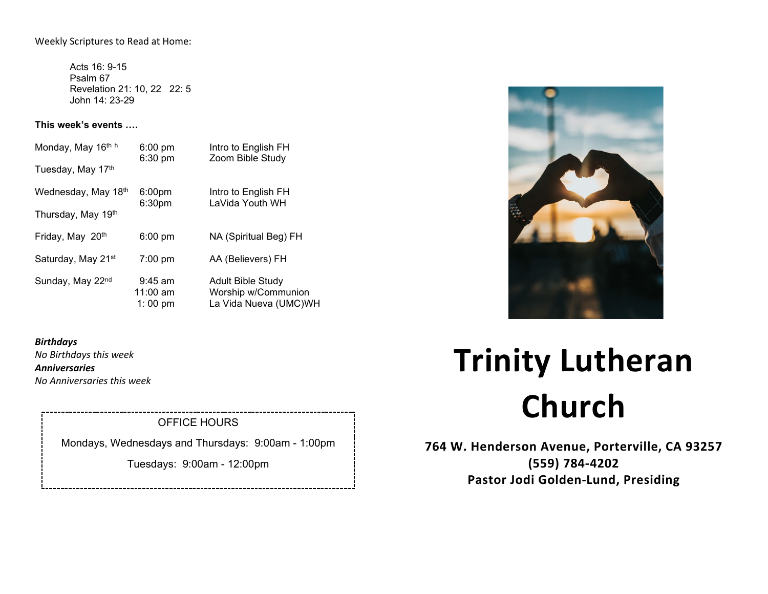Weekly Scriptures to Read at Home:

Acts 16: 9-15 Psalm 67 Revelation 21: 10, 22 22: 5 John 14: 23-29

**This week's events ….**

| Monday, May 16th h             | $6:00$ pm<br>6:30 pm                     | Intro to English FH<br>Zoom Bible Study                                  |
|--------------------------------|------------------------------------------|--------------------------------------------------------------------------|
| Tuesday, May 17th              |                                          |                                                                          |
| Wednesday, May 18th            | 6:00 <sub>pm</sub><br>6:30 <sub>pm</sub> | Intro to English FH<br>LaVida Youth WH                                   |
| Thursday, May 19th             |                                          |                                                                          |
| Friday, May 20th               | $6:00 \text{ pm}$                        | NA (Spiritual Beg) FH                                                    |
| Saturday, May 21 <sup>st</sup> | $7:00 \text{ pm}$                        | AA (Believers) FH                                                        |
| Sunday, May 22nd               | $9:45$ am<br>$11:00$ am<br>1:00 pm       | <b>Adult Bible Study</b><br>Worship w/Communion<br>La Vida Nueva (UMC)WH |



*Birthdays No Birthdays this week Anniversaries*

*No Anniversaries this week*

# OFFICE HOURS

Mondays, Wednesdays and Thursdays: 9:00am - 1:00pm

Tuesdays: 9:00am - 12:00pm

# **Trinity Lutheran Church**

**764 W. Henderson Avenue, Porterville, CA 93257 (559) 784-4202 Pastor Jodi Golden-Lund, Presiding**